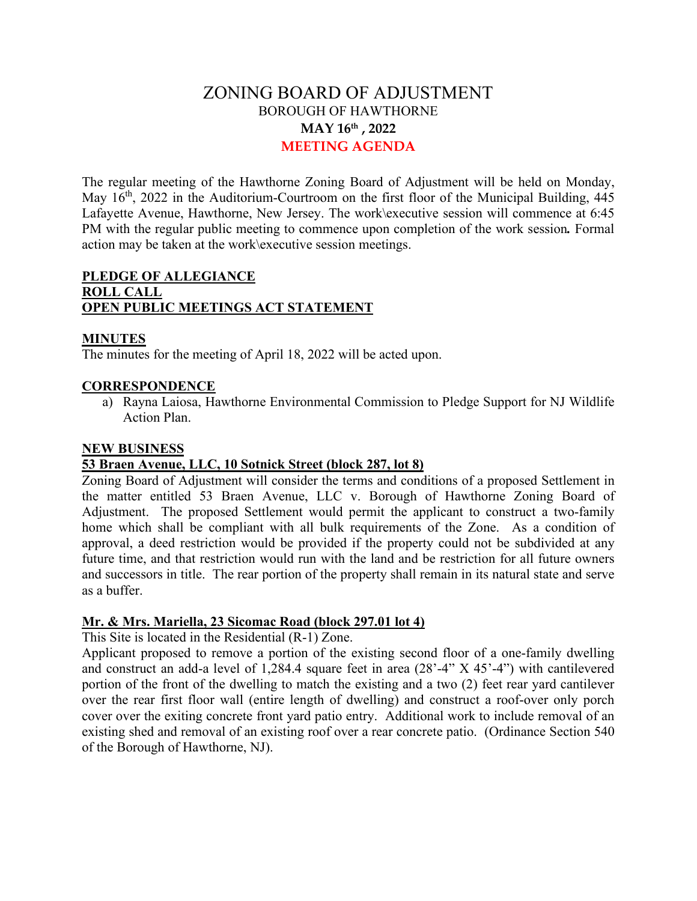# ZONING BOARD OF ADJUSTMENT BOROUGH OF HAWTHORNE **MAY 16th , 2022 MEETING AGENDA**

The regular meeting of the Hawthorne Zoning Board of Adjustment will be held on Monday, May  $16<sup>th</sup>$ , 2022 in the Auditorium-Courtroom on the first floor of the Municipal Building, 445 Lafayette Avenue, Hawthorne, New Jersey. The work\executive session will commence at 6:45 PM with the regular public meeting to commence upon completion of the work session*.* Formal action may be taken at the work\executive session meetings.

# **PLEDGE OF ALLEGIANCE ROLL CALL OPEN PUBLIC MEETINGS ACT STATEMENT**

### **MINUTES**

The minutes for the meeting of April 18, 2022 will be acted upon.

## **CORRESPONDENCE**

a) Rayna Laiosa, Hawthorne Environmental Commission to Pledge Support for NJ Wildlife Action Plan.

### **NEW BUSINESS**

### **53 Braen Avenue, LLC, 10 Sotnick Street (block 287, lot 8)**

Zoning Board of Adjustment will consider the terms and conditions of a proposed Settlement in the matter entitled 53 Braen Avenue, LLC v. Borough of Hawthorne Zoning Board of Adjustment. The proposed Settlement would permit the applicant to construct a two-family home which shall be compliant with all bulk requirements of the Zone. As a condition of approval, a deed restriction would be provided if the property could not be subdivided at any future time, and that restriction would run with the land and be restriction for all future owners and successors in title. The rear portion of the property shall remain in its natural state and serve as a buffer.

# **Mr. & Mrs. Mariella, 23 Sicomac Road (block 297.01 lot 4)**

This Site is located in the Residential (R-1) Zone.

Applicant proposed to remove a portion of the existing second floor of a one-family dwelling and construct an add-a level of 1,284.4 square feet in area (28'-4" X 45'-4") with cantilevered portion of the front of the dwelling to match the existing and a two (2) feet rear yard cantilever over the rear first floor wall (entire length of dwelling) and construct a roof-over only porch cover over the exiting concrete front yard patio entry. Additional work to include removal of an existing shed and removal of an existing roof over a rear concrete patio. (Ordinance Section 540 of the Borough of Hawthorne, NJ).